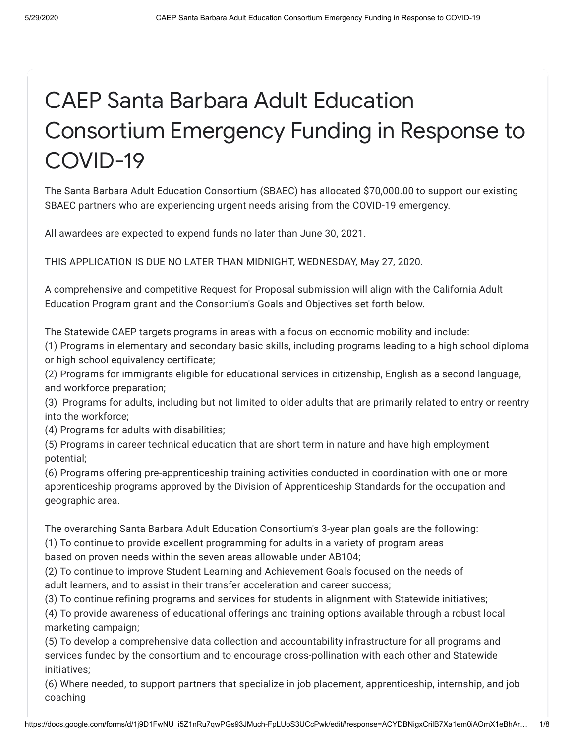# CAEP Santa Barbara Adult Education Consortium Emergency Funding in Response to COVID-19

The Santa Barbara Adult Education Consortium (SBAEC) has allocated \$70,000.00 to support our existing SBAEC partners who are experiencing urgent needs arising from the COVID-19 emergency.

All awardees are expected to expend funds no later than June 30, 2021.

THIS APPLICATION IS DUE NO LATER THAN MIDNIGHT, WEDNESDAY, May 27, 2020.

A comprehensive and competitive Request for Proposal submission will align with the California Adult Education Program grant and the Consortium's Goals and Objectives set forth below.

The Statewide CAEP targets programs in areas with a focus on economic mobility and include:

(1) Programs in elementary and secondary basic skills, including programs leading to a high school diploma or high school equivalency certificate;

(2) Programs for immigrants eligible for educational services in citizenship, English as a second language, and workforce preparation;

(3) Programs for adults, including but not limited to older adults that are primarily related to entry or reentry into the workforce;

(4) Programs for adults with disabilities;

(5) Programs in career technical education that are short term in nature and have high employment potential;

(6) Programs offering pre-apprenticeship training activities conducted in coordination with one or more apprenticeship programs approved by the Division of Apprenticeship Standards for the occupation and geographic area.

The overarching Santa Barbara Adult Education Consortium's 3-year plan goals are the following:

(1) To continue to provide excellent programming for adults in a variety of program areas

based on proven needs within the seven areas allowable under AB104;

(2) To continue to improve Student Learning and Achievement Goals focused on the needs of adult learners, and to assist in their transfer acceleration and career success;

(3) To continue refining programs and services for students in alignment with Statewide initiatives;

(4) To provide awareness of educational offerings and training options available through a robust local marketing campaign;

(5) To develop a comprehensive data collection and accountability infrastructure for all programs and services funded by the consortium and to encourage cross-pollination with each other and Statewide initiatives;

(6) Where needed, to support partners that specialize in job placement, apprenticeship, internship, and job coaching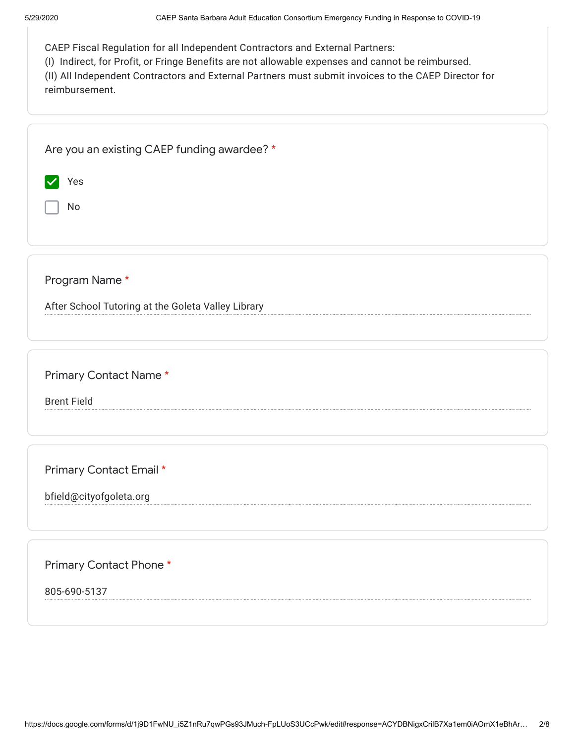| CAEP Fiscal Regulation for all Independent Contractors and External Partners: |  |  |
|-------------------------------------------------------------------------------|--|--|
|                                                                               |  |  |

(I) Indirect, for Profit, or Fringe Benefits are not allowable expenses and cannot be reimbursed.

(II) All Independent Contractors and External Partners must submit invoices to the CAEP Director for reimbursement.

| Are you an existing CAEP funding awardee? *        |
|----------------------------------------------------|
| Yes<br>$\blacktriangledown$                        |
| No                                                 |
|                                                    |
| Program Name*                                      |
| After School Tutoring at the Goleta Valley Library |
|                                                    |
| Primary Contact Name*                              |
| <b>Brent Field</b>                                 |
|                                                    |
| Primary Contact Email *                            |
| bfield@cityofgoleta.org                            |
|                                                    |
|                                                    |
| Primary Contact Phone*                             |
| 805-690-5137                                       |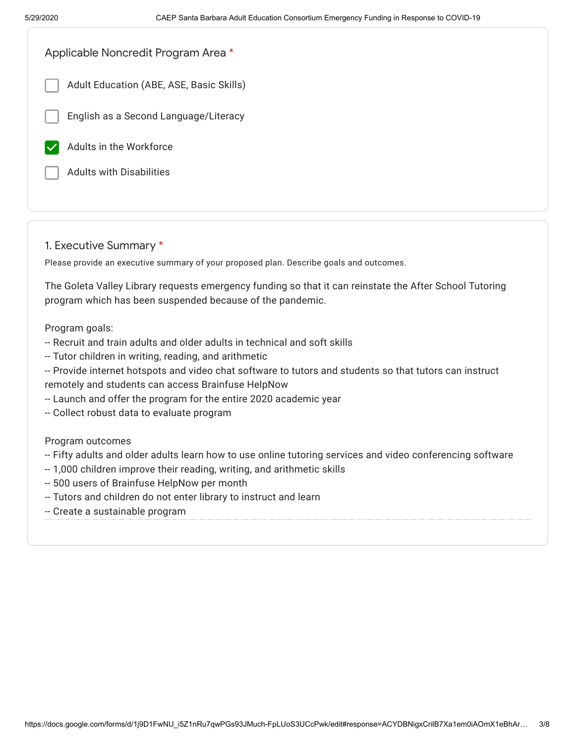| Applicable Noncredit Program Area *      |  |
|------------------------------------------|--|
| Adult Education (ABE, ASE, Basic Skills) |  |
| English as a Second Language/Literacy    |  |
| Adults in the Workforce                  |  |
| <b>Adults with Disabilities</b>          |  |
|                                          |  |

## 1. Executive Summary \*

Please provide an executive summary of your proposed plan. Describe goals and outcomes.

The Goleta Valley Library requests emergency funding so that it can reinstate the After School Tutoring program which has been suspended because of the pandemic.

Program goals:

- -- Recruit and train adults and older adults in technical and soft skills
- -- Tutor children in writing, reading, and arithmetic

-- Provide internet hotspots and video chat software to tutors and students so that tutors can instruct remotely and students can access Brainfuse HelpNow

- -- Launch and offer the program for the entire 2020 academic year
- -- Collect robust data to evaluate program

#### Program outcomes

- -- Fifty adults and older adults learn how to use online tutoring services and video conferencing software
- -- 1,000 children improve their reading, writing, and arithmetic skills
- -- 500 users of Brainfuse HelpNow per month
- -- Tutors and children do not enter library to instruct and learn
- -- Create a sustainable program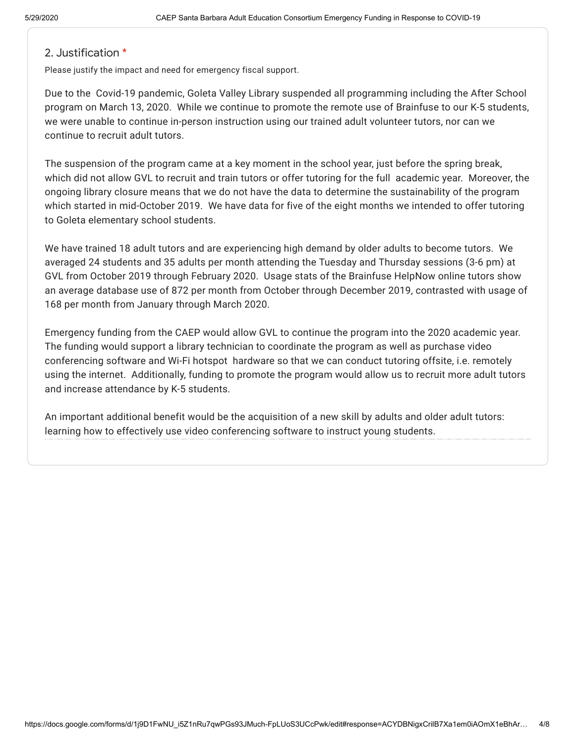## 2. Justification \*

Please justify the impact and need for emergency fiscal support.

Due to the Covid-19 pandemic, Goleta Valley Library suspended all programming including the After School program on March 13, 2020. While we continue to promote the remote use of Brainfuse to our K-5 students, we were unable to continue in-person instruction using our trained adult volunteer tutors, nor can we continue to recruit adult tutors.

The suspension of the program came at a key moment in the school year, just before the spring break, which did not allow GVL to recruit and train tutors or offer tutoring for the full academic year. Moreover, the ongoing library closure means that we do not have the data to determine the sustainability of the program which started in mid-October 2019. We have data for five of the eight months we intended to offer tutoring to Goleta elementary school students.

We have trained 18 adult tutors and are experiencing high demand by older adults to become tutors. We averaged 24 students and 35 adults per month attending the Tuesday and Thursday sessions (3-6 pm) at GVL from October 2019 through February 2020. Usage stats of the Brainfuse HelpNow online tutors show an average database use of 872 per month from October through December 2019, contrasted with usage of 168 per month from January through March 2020.

Emergency funding from the CAEP would allow GVL to continue the program into the 2020 academic year. The funding would support a library technician to coordinate the program as well as purchase video conferencing software and Wi-Fi hotspot hardware so that we can conduct tutoring offsite, i.e. remotely using the internet. Additionally, funding to promote the program would allow us to recruit more adult tutors and increase attendance by K-5 students.

An important additional benefit would be the acquisition of a new skill by adults and older adult tutors: learning how to effectively use video conferencing software to instruct young students.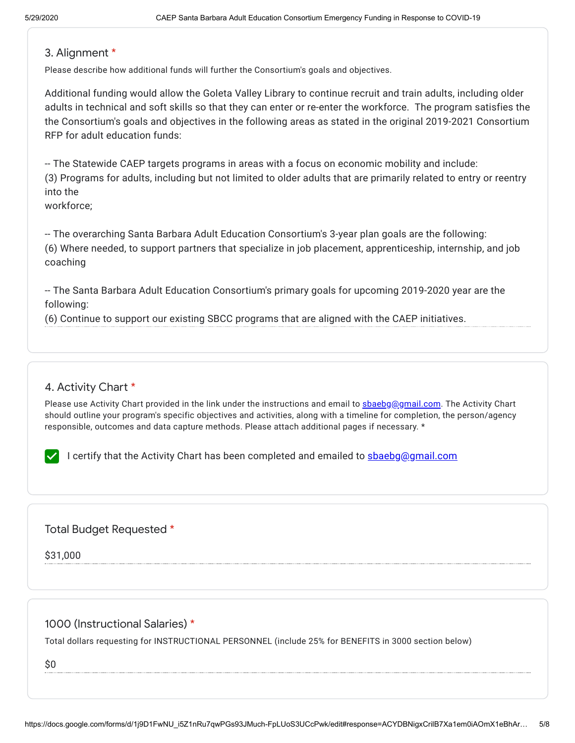#### 3. Alignment \*

Please describe how additional funds will further the Consortium's goals and objectives.

Additional funding would allow the Goleta Valley Library to continue recruit and train adults, including older adults in technical and soft skills so that they can enter or re-enter the workforce. The program satisfies the the Consortium's goals and objectives in the following areas as stated in the original 2019-2021 Consortium RFP for adult education funds:

-- The Statewide CAEP targets programs in areas with a focus on economic mobility and include: (3) Programs for adults, including but not limited to older adults that are primarily related to entry or reentry into the

workforce;

-- The overarching Santa Barbara Adult Education Consortium's 3-year plan goals are the following: (6) Where needed, to support partners that specialize in job placement, apprenticeship, internship, and job coaching

-- The Santa Barbara Adult Education Consortium's primary goals for upcoming 2019-2020 year are the following:

(6) Continue to support our existing SBCC programs that are aligned with the CAEP initiatives.

# 4. Activity Chart \*

Please use Activity Chart provided in the link under the instructions and email to [sbaebg@gmail.com](mailto:sbaebg@gmail.com). The Activity Chart should outline your program's specific objectives and activities, along with a timeline for completion, the person/agency responsible, outcomes and data capture methods. Please attach additional pages if necessary. \*

I certify that the Activity Chart has been completed and emailed to shaebg@gmail.com

## Total Budget Requested \*

\$31,000

1000 (Instructional Salaries) \*

Total dollars requesting for INSTRUCTIONAL PERSONNEL (include 25% for BENEFITS in 3000 section below)

\$0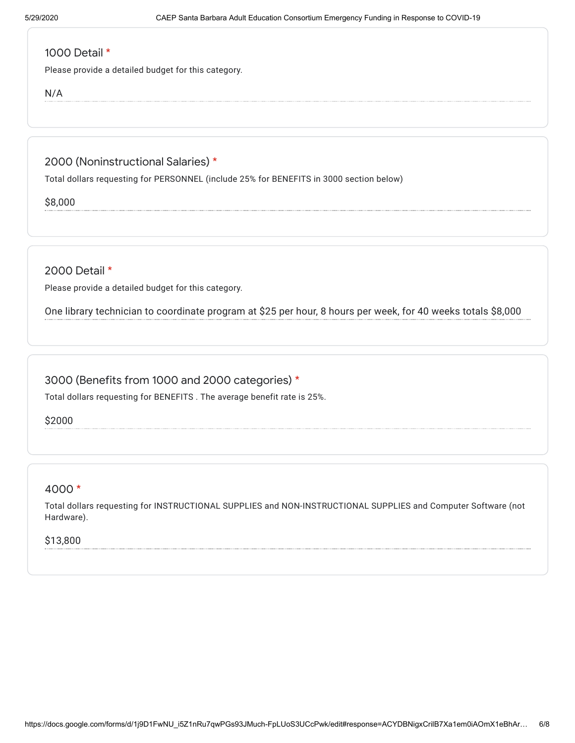## 1000 Detail \*

Please provide a detailed budget for this category.

N/A

2000 (Noninstructional Salaries) \*

Total dollars requesting for PERSONNEL (include 25% for BENEFITS in 3000 section below)

\$8,000

2000 Detail \*

Please provide a detailed budget for this category.

One library technician to coordinate program at \$25 per hour, 8 hours per week, for 40 weeks totals \$8,000

# 3000 (Benefits from 1000 and 2000 categories) \*

Total dollars requesting for BENEFITS . The average benefit rate is 25%.

\$2000

# 4000 \*

Total dollars requesting for INSTRUCTIONAL SUPPLIES and NON-INSTRUCTIONAL SUPPLIES and Computer Software (not Hardware).

#### \$13,800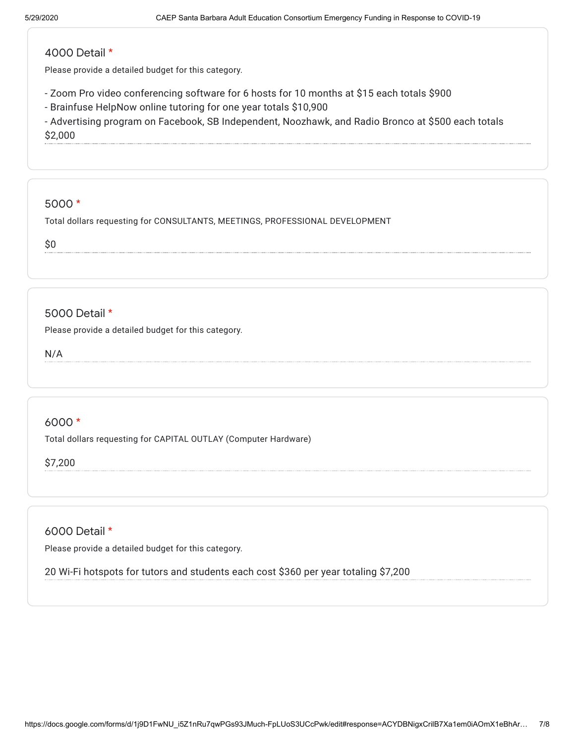## 4000 Detail \*

Please provide a detailed budget for this category.

- Zoom Pro video conferencing software for 6 hosts for 10 months at \$15 each totals \$900
- Brainfuse HelpNow online tutoring for one year totals \$10,900

- Advertising program on Facebook, SB Independent, Noozhawk, and Radio Bronco at \$500 each totals \$2,000

#### 5000 \*

Total dollars requesting for CONSULTANTS, MEETINGS, PROFESSIONAL DEVELOPMENT

\$0

# 5000 Detail \*

Please provide a detailed budget for this category.

N/A

## 6000 \*

Total dollars requesting for CAPITAL OUTLAY (Computer Hardware)

\$7,200

## 6000 Detail \*

Please provide a detailed budget for this category.

20 Wi-Fi hotspots for tutors and students each cost \$360 per year totaling \$7,200